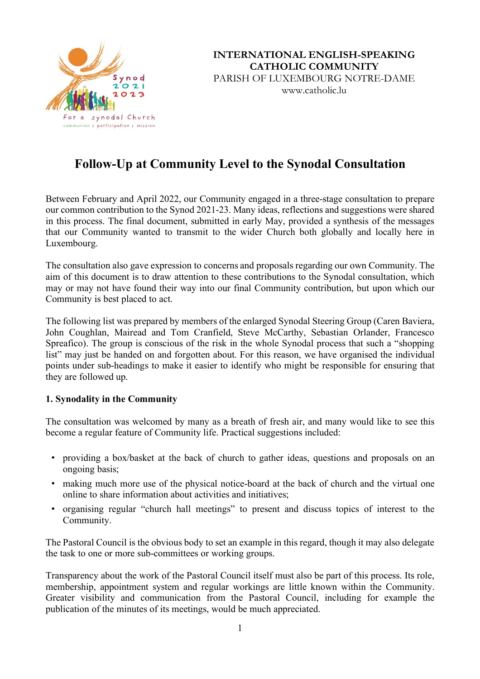

**INTERNATIONAL ENGLISH-SPEAKING CATHOLIC COMMUNITY**

PARISH OF LUXEMBOURG NOTRE-DAME www.catholic.lu

# **Follow-Up at Community Level to the Synodal Consultation**

Between February and April 2022, our Community engaged in a three-stage consultation to prepare our common contribution to the Synod 2021-23. Many ideas, reflections and suggestions were shared in this process. The final document, submitted in early May, provided a synthesis of the messages that our Community wanted to transmit to the wider Church both globally and locally here in Luxembourg.

The consultation also gave expression to concerns and proposals regarding our own Community. The aim of this document is to draw attention to these contributions to the Synodal consultation, which may or may not have found their way into our final Community contribution, but upon which our Community is best placed to act.

The following list was prepared by members of the enlarged Synodal Steering Group (Caren Baviera, John Coughlan, Mairead and Tom Cranfield, Steve McCarthy, Sebastian Orlander, Francesco Spreafico). The group is conscious of the risk in the whole Synodal process that such a "shopping list" may just be handed on and forgotten about. For this reason, we have organised the individual points under sub-headings to make it easier to identify who might be responsible for ensuring that they are followed up.

### **1. Synodality in the Community**

The consultation was welcomed by many as a breath of fresh air, and many would like to see this become a regular feature of Community life. Practical suggestions included:

- ! providing a box/basket at the back of church to gather ideas, questions and proposals on an ongoing basis;
- ! making much more use of the physical notice-board at the back of church and the virtual one online to share information about activities and initiatives;
- ! organising regular "church hall meetings" to present and discuss topics of interest to the Community.

The Pastoral Council is the obvious body to set an example in this regard, though it may also delegate the task to one or more sub-committees or working groups.

Transparency about the work of the Pastoral Council itself must also be part of this process. Its role, membership, appointment system and regular workings are little known within the Community. Greater visibility and communication from the Pastoral Council, including for example the publication of the minutes of its meetings, would be much appreciated.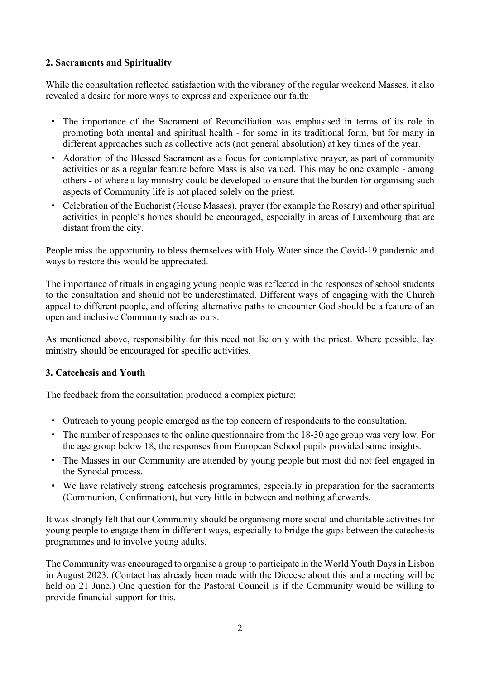## **2. Sacraments and Spirituality**

While the consultation reflected satisfaction with the vibrancy of the regular weekend Masses, it also revealed a desire for more ways to express and experience our faith:

- ! The importance of the Sacrament of Reconciliation was emphasised in terms of its role in promoting both mental and spiritual health - for some in its traditional form, but for many in different approaches such as collective acts (not general absolution) at key times of the year.
- ! Adoration of the Blessed Sacrament as a focus for contemplative prayer, as part of community activities or as a regular feature before Mass is also valued. This may be one example - among others - of where a lay ministry could be developed to ensure that the burden for organising such aspects of Community life is not placed solely on the priest.
- ! Celebration of the Eucharist (House Masses), prayer (for example the Rosary) and other spiritual activities in people's homes should be encouraged, especially in areas of Luxembourg that are distant from the city.

People miss the opportunity to bless themselves with Holy Water since the Covid-19 pandemic and ways to restore this would be appreciated.

The importance of rituals in engaging young people was reflected in the responses of school students to the consultation and should not be underestimated. Different ways of engaging with the Church appeal to different people, and offering alternative paths to encounter God should be a feature of an open and inclusive Community such as ours.

As mentioned above, responsibility for this need not lie only with the priest. Where possible, lay ministry should be encouraged for specific activities.

### **3. Catechesis and Youth**

The feedback from the consultation produced a complex picture:

- ! Outreach to young people emerged as the top concern of respondents to the consultation.
- ! The number of responses to the online questionnaire from the 18-30 age group was very low. For the age group below 18, the responses from European School pupils provided some insights.
- ! The Masses in our Community are attended by young people but most did not feel engaged in the Synodal process.
- ! We have relatively strong catechesis programmes, especially in preparation for the sacraments (Communion, Confirmation), but very little in between and nothing afterwards.

It was strongly felt that our Community should be organising more social and charitable activities for young people to engage them in different ways, especially to bridge the gaps between the catechesis programmes and to involve young adults.

The Community was encouraged to organise a group to participate in the World Youth Daysin Lisbon in August 2023. (Contact has already been made with the Diocese about this and a meeting will be held on 21 June.) One question for the Pastoral Council is if the Community would be willing to provide financial support for this.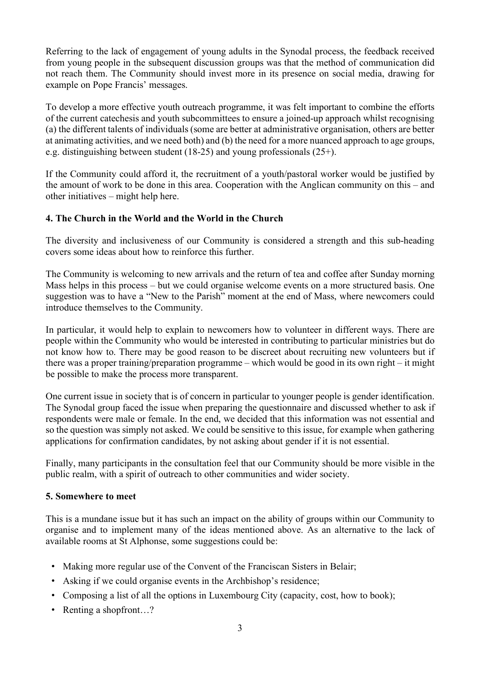Referring to the lack of engagement of young adults in the Synodal process, the feedback received from young people in the subsequent discussion groups was that the method of communication did not reach them. The Community should invest more in its presence on social media, drawing for example on Pope Francis' messages.

To develop a more effective youth outreach programme, it was felt important to combine the efforts of the current catechesis and youth subcommittees to ensure a joined-up approach whilst recognising (a) the different talents of individuals(some are better at administrative organisation, others are better at animating activities, and we need both) and (b) the need for a more nuanced approach to age groups, e.g. distinguishing between student (18-25) and young professionals (25+).

If the Community could afford it, the recruitment of a youth/pastoral worker would be justified by the amount of work to be done in this area. Cooperation with the Anglican community on this – and other initiatives – might help here.

## **4. The Church in the World and the World in the Church**

The diversity and inclusiveness of our Community is considered a strength and this sub-heading covers some ideas about how to reinforce this further.

The Community is welcoming to new arrivals and the return of tea and coffee after Sunday morning Mass helps in this process – but we could organise welcome events on a more structured basis. One suggestion was to have a "New to the Parish" moment at the end of Mass, where newcomers could introduce themselves to the Community.

In particular, it would help to explain to newcomers how to volunteer in different ways. There are people within the Community who would be interested in contributing to particular ministries but do not know how to. There may be good reason to be discreet about recruiting new volunteers but if there was a proper training/preparation programme – which would be good in its own right – it might be possible to make the process more transparent.

One current issue in society that is of concern in particular to younger people is gender identification. The Synodal group faced the issue when preparing the questionnaire and discussed whether to ask if respondents were male or female. In the end, we decided that this information was not essential and so the question was simply not asked. We could be sensitive to this issue, for example when gathering applications for confirmation candidates, by not asking about gender if it is not essential.

Finally, many participants in the consultation feel that our Community should be more visible in the public realm, with a spirit of outreach to other communities and wider society.

### **5. Somewhere to meet**

This is a mundane issue but it has such an impact on the ability of groups within our Community to organise and to implement many of the ideas mentioned above. As an alternative to the lack of available rooms at St Alphonse, some suggestions could be:

- ! Making more regular use of the Convent of the Franciscan Sisters in Belair;
- ! Asking if we could organise events in the Archbishop's residence;
- Composing a list of all the options in Luxembourg City (capacity, cost, how to book);
- Renting a shopfront...?